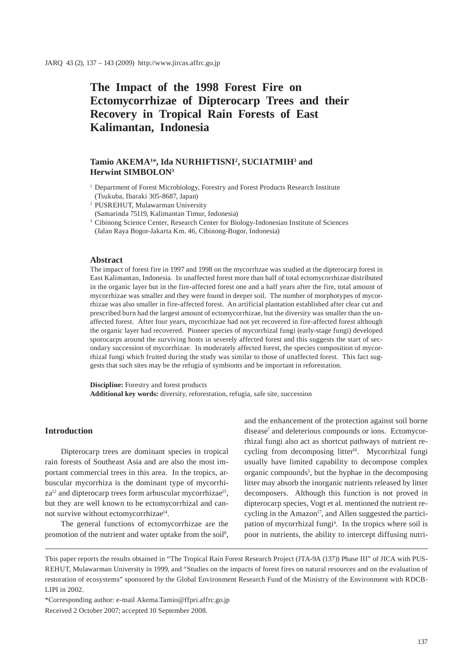# **The Impact of the 1998 Forest Fire on Ectomycorrhizae of Dipterocarp Trees and their Recovery in Tropical Rain Forests of East Kalimantan, Indonesia**

# **Tamio AKEMA1** \***, Ida NURHIFTISNI2 , SUCIATMIH3 and Herwint SIMBOLON3**

- <sup>1</sup> Department of Forest Microbiology, Forestry and Forest Products Research Institute (Tsukuba, Ibaraki 305-8687, Japan)
- 2 PUSREHUT, Mulawarman University
- (Samarinda 75119, Kalimantan Timur, Indonesia)
- <sup>3</sup> Cibinong Science Center, Research Center for Biology-Indonesian Institute of Sciences (Jalan Raya Bogor-Jakarta Km. 46, Cibinong-Bogor, Indonesia)

#### **Abstract**

The impact of forest fire in 1997 and 1998 on the mycorrhzae was studied at the dipterocarp forest in East Kalimantan, Indonesia. In unaffected forest more than half of total ectomycorrhizae distributed in the organic layer but in the fire-affected forest one and a half years after the fire, total amount of mycorrhizae was smaller and they were found in deeper soil. The number of morphotypes of mycorrhizae was also smaller in fire-affected forest. An artificial plantation established after clear cut and prescribed burn had the largest amount of ectomycorrhizae, but the diversity was smaller than the unaffected forest. After four years, mycorrhizae had not yet recovered in fire-affected forest although the organic layer had recovered. Pioneer species of mycorrhizal fungi (early-stage fungi) developed sporocarps around the surviving hosts in severely affected forest and this suggests the start of secondary succession of mycorrhizae. In moderately affected forest, the species composition of mycorrhizal fungi which fruited during the study was similar to those of unaffected forest. This fact suggests that such sites may be the refugia of symbionts and be important in reforestation.

**Discipline:** Forestry and forest products **Additional key words:** diversity, reforestation, refugia, safe site, succession

# **Introduction**

Dipterocarp trees are dominant species in tropical rain forests of Southeast Asia and are also the most important commercial trees in this area. In the tropics, arbuscular mycorrhiza is the dominant type of mycorrhi $z$ and dipterocarp trees form arbuscular mycorrhizae<sup>15</sup>, but they are well known to be ectomycorrhizal and cannot survive without ectomycorrhizae<sup>14</sup>.

The general functions of ectomycorrhizae are the promotion of the nutrient and water uptake from the soil<sup>8</sup>, and the enhancement of the protection against soil borne disease<sup>7</sup> and deleterious compounds or ions. Ectomycorrhizal fungi also act as shortcut pathways of nutrient recycling from decomposing litter<sup>10</sup>. Mycorrhizal fungi usually have limited capability to decompose complex organic compounds<sup>5</sup>, but the hyphae in the decomposing litter may absorb the inorganic nutrients released by litter decomposers. Although this function is not proved in dipterocarp species, Vogt et al*.* mentioned the nutrient recycling in the Amazon<sup>17</sup>, and Allen suggested the participation of mycorrhizal fungi<sup>4</sup>. In the tropics where soil is poor in nutrients, the ability to intercept diffusing nutri-

This paper reports the results obtained in "The Tropical Rain Forest Research Project (JTA-9A (137)) Phase III" of JICA with PUS-REHUT, Mulawarman University in 1999, and "Studies on the impacts of forest fires on natural resources and on the evaluation of restoration of ecosystems" sponsored by the Global Environment Research Fund of the Ministry of the Environment with RDCB-LIPI in 2002.

\*Corresponding author: e-mail Akema.Tamio@ffpri.affrc.go.jp Received 2 October 2007; accepted 10 September 2008.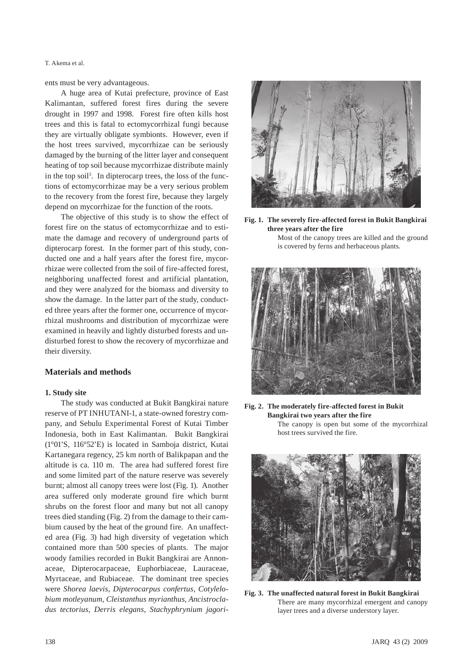T. Akema et al.

ents must be very advantageous.

A huge area of Kutai prefecture, province of East Kalimantan, suffered forest fires during the severe drought in 1997 and 1998. Forest fire often kills host trees and this is fatal to ectomycorrhizal fungi because they are virtually obligate symbionts. However, even if the host trees survived, mycorrhizae can be seriously damaged by the burning of the litter layer and consequent heating of top soil because mycorrhizae distribute mainly in the top soil<sup>3</sup>. In dipterocarp trees, the loss of the functions of ectomycorrhizae may be a very serious problem to the recovery from the forest fire, because they largely depend on mycorrhizae for the function of the roots.

The objective of this study is to show the effect of forest fire on the status of ectomycorrhizae and to estimate the damage and recovery of underground parts of dipterocarp forest. In the former part of this study, conducted one and a half years after the forest fire, mycorrhizae were collected from the soil of fire-affected forest, neighboring unaffected forest and artificial plantation, and they were analyzed for the biomass and diversity to show the damage. In the latter part of the study, conducted three years after the former one, occurrence of mycorrhizal mushrooms and distribution of mycorrhizae were examined in heavily and lightly disturbed forests and undisturbed forest to show the recovery of mycorrhizae and their diversity.

## **Materials and methods**

#### **1. Study site**

The study was conducted at Bukit Bangkirai nature reserve of PT INHUTANI-1, a state-owned forestry company, and Sebulu Experimental Forest of Kutai Timber Indonesia, both in East Kalimantan. Bukit Bangkirai (1°01'S, 116°52'E) is located in Samboja district, Kutai Kartanegara regency, 25 km north of Balikpapan and the altitude is ca. 110 m. The area had suffered forest fire and some limited part of the nature reserve was severely burnt; almost all canopy trees were lost (Fig. 1). Another area suffered only moderate ground fire which burnt shrubs on the forest floor and many but not all canopy trees died standing (Fig. 2) from the damage to their cambium caused by the heat of the ground fire. An unaffected area (Fig. 3) had high diversity of vegetation which contained more than 500 species of plants. The major woody families recorded in Bukit Bangkirai are Annonaceae, Dipterocarpaceae, Euphorbiaceae, Lauraceae, Myrtaceae, and Rubiaceae. The dominant tree species were *Shorea laevis, Dipterocarpus confertus, Cotylelobium motleyanum, Cleistanthus myrianthus, Ancistrocladus tectorius, Derris elegans, Stachyphrynium jagori-*



**Fig. 1. The severely fire-affected forest in Bukit Bangkirai three years after the fire** 

Most of the canopy trees are killed and the ground is covered by ferns and herbaceous plants.



**Fig. 2. The moderately fire-affected forest in Bukit Bangkirai two years after the fire**  The canopy is open but some of the mycorrhizal

host trees survived the fire.



**Fig. 3. The unaffected natural forest in Bukit Bangkirai**  There are many mycorrhizal emergent and canopy layer trees and a diverse understory layer.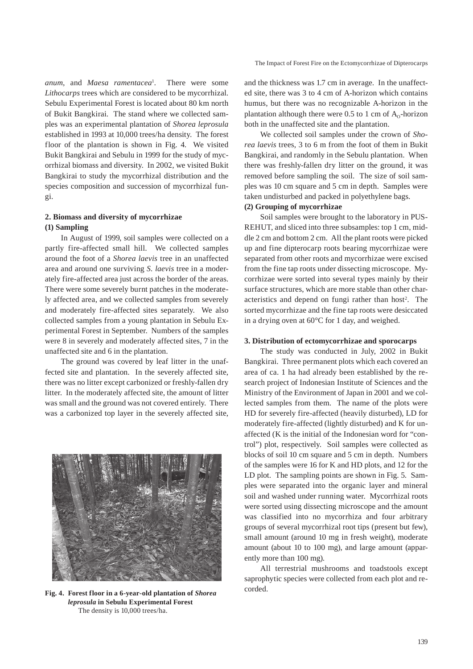*anum*, and *Maesa ramentacea*<sup>1</sup> . There were some *Lithocarps* trees which are considered to be mycorrhizal. Sebulu Experimental Forest is located about 80 km north of Bukit Bangkirai. The stand where we collected samples was an experimental plantation of *Shorea leprosula* established in 1993 at 10,000 trees/ha density. The forest floor of the plantation is shown in Fig. 4. We visited Bukit Bangkirai and Sebulu in 1999 for the study of mycorrhizal biomass and diversity. In 2002, we visited Bukit Bangkirai to study the mycorrhizal distribution and the species composition and succession of mycorrhizal fungi.

# **2. Biomass and diversity of mycorrhizae (1) Sampling**

In August of 1999, soil samples were collected on a partly fire-affected small hill. We collected samples around the foot of a *Shorea laevis* tree in an unaffected area and around one surviving *S. laevis* tree in a moderately fire-affected area just across the border of the areas. There were some severely burnt patches in the moderately affected area, and we collected samples from severely and moderately fire-affected sites separately. We also collected samples from a young plantation in Sebulu Experimental Forest in September. Numbers of the samples were 8 in severely and moderately affected sites, 7 in the unaffected site and 6 in the plantation.

The ground was covered by leaf litter in the unaffected site and plantation. In the severely affected site, there was no litter except carbonized or freshly-fallen dry litter. In the moderately affected site, the amount of litter was small and the ground was not covered entirely. There was a carbonized top layer in the severely affected site,



corded. **Fig. 4. Forest floor in a 6-year-old plantation of** *Shorea leprosula* **in Sebulu Experimental Forest**  The density is 10,000 trees/ha.

and the thickness was 1.7 cm in average. In the unaffected site, there was 3 to 4 cm of A-horizon which contains humus, but there was no recognizable A-horizon in the plantation although there were 0.5 to 1 cm of  $A_0$ -horizon both in the unaffected site and the plantation.

We collected soil samples under the crown of *Shorea laevis* trees, 3 to 6 m from the foot of them in Bukit Bangkirai, and randomly in the Sebulu plantation. When there was freshly-fallen dry litter on the ground, it was removed before sampling the soil. The size of soil samples was 10 cm square and 5 cm in depth. Samples were taken undisturbed and packed in polyethylene bags.

# **(2) Grouping of mycorrhizae**

Soil samples were brought to the laboratory in PUS-REHUT, and sliced into three subsamples: top 1 cm, middle 2 cm and bottom 2 cm. All the plant roots were picked up and fine dipterocarp roots bearing mycorrhizae were separated from other roots and mycorrhizae were excised from the fine tap roots under dissecting microscope. Mycorrhizae were sorted into several types mainly by their surface structures, which are more stable than other characteristics and depend on fungi rather than host<sup>2</sup>. The sorted mycorrhizae and the fine tap roots were desiccated in a drying oven at 60°C for 1 day, and weighed.

### **3. Distribution of ectomycorrhizae and sporocarps**

The study was conducted in July, 2002 in Bukit Bangkirai. Three permanent plots which each covered an area of ca. 1 ha had already been established by the research project of Indonesian Institute of Sciences and the Ministry of the Environment of Japan in 2001 and we collected samples from them. The name of the plots were HD for severely fire-affected (heavily disturbed), LD for moderately fire-affected (lightly disturbed) and K for unaffected (K is the initial of the Indonesian word for "control") plot, respectively. Soil samples were collected as blocks of soil 10 cm square and 5 cm in depth. Numbers of the samples were 16 for K and HD plots, and 12 for the LD plot. The sampling points are shown in Fig. 5. Samples were separated into the organic layer and mineral soil and washed under running water. Mycorrhizal roots were sorted using dissecting microscope and the amount was classified into no mycorrhiza and four arbitrary groups of several mycorrhizal root tips (present but few), small amount (around 10 mg in fresh weight), moderate amount (about 10 to 100 mg), and large amount (apparently more than 100 mg).

All terrestrial mushrooms and toadstools except saprophytic species were collected from each plot and re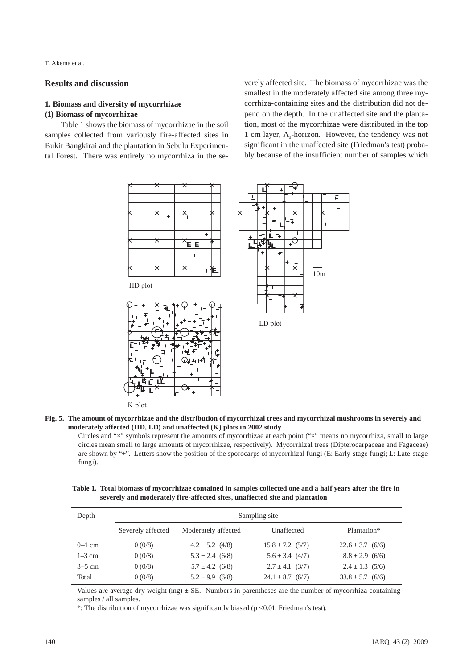T. Akema et al.

# **Results and discussion**

# **1. Biomass and diversity of mycorrhizae (1) Biomass of mycorrhizae**

Table 1 shows the biomass of mycorrhizae in the soil samples collected from variously fire-affected sites in Bukit Bangkirai and the plantation in Sebulu Experimental Forest. There was entirely no mycorrhiza in the severely affected site. The biomass of mycorrhizae was the smallest in the moderately affected site among three mycorrhiza-containing sites and the distribution did not depend on the depth. In the unaffected site and the plantation, most of the mycorrhizae were distributed in the top 1 cm layer,  $A_0$ -horizon. However, the tendency was not significant in the unaffected site (Friedman's test) probably because of the insufficient number of samples which



K plot

#### **Fig. 5. The amount of mycorrhizae and the distribution of mycorrhizal trees and mycorrhizal mushrooms in severely and moderately affected (HD, LD) and unaffected (K) plots in 2002 study**

Circles and "×" symbols represent the amounts of mycorrhizae at each point ("×" means no mycorrhiza, small to large circles mean small to large amounts of mycorrhizae, respectively). Mycorrhizal trees (Dipterocarpaceae and Fagaceae) are shown by "+". Letters show the position of the sporocarps of mycorrhizal fungi (E: Early-stage fungi; L: Late-stage fungi).

**Table 1. Total biomass of mycorrhizae contained in samples collected one and a half years after the fire in severely and moderately fire-affected sites, unaffected site and plantation**

| Depth    | Sampling site     |                     |                      |                      |  |  |
|----------|-------------------|---------------------|----------------------|----------------------|--|--|
|          | Severely affected | Moderately affected | Unaffected           | Plantation*          |  |  |
| $0-1$ cm | 0(0/8)            | $4.2 \pm 5.2$ (4/8) | $15.8 \pm 7.2$ (5/7) | $22.6 \pm 3.7$ (6/6) |  |  |
| $1-3$ cm | 0(0/8)            | $5.3 \pm 2.4$ (6/8) | $5.6 \pm 3.4$ (4/7)  | $8.8 \pm 2.9$ (6/6)  |  |  |
| $3-5$ cm | 0(0/8)            | $5.7 \pm 4.2$ (6/8) | $2.7 \pm 4.1$ (3/7)  | $2.4 \pm 1.3$ (5/6)  |  |  |
| Total    | 0(0/8)            | $5.2 \pm 9.9$ (6/8) | $24.1 \pm 8.7$ (6/7) | $33.8 \pm 5.7$ (6/6) |  |  |

Values are average dry weight (mg)  $\pm$  SE. Numbers in parentheses are the number of mycorrhiza containing samples / all samples.

\*: The distribution of mycorrhizae was significantly biased (p <0.01, Friedman's test).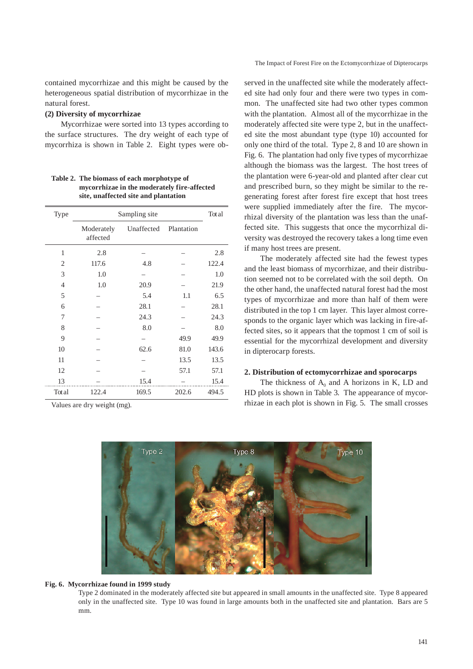The Impact of Forest Fire on the Ectomycorrhizae of Dipterocarps

contained mycorrhizae and this might be caused by the heterogeneous spatial distribution of mycorrhizae in the natural forest.

# **(2) Diversity of mycorrhizae**

Mycorrhizae were sorted into 13 types according to the surface structures. The dry weight of each type of mycorrhiza is shown in Table 2. Eight types were ob-

**Table 2. The biomass of each morphotype of mycorrhizae in the moderately fire-affected site, unaffected site and plantation**

| Type           | Sampling site          | Total      |            |       |
|----------------|------------------------|------------|------------|-------|
|                | Moderately<br>affected | Unaffected | Plantation |       |
| 1              | 2.8                    |            |            | 2.8   |
| 2              | 117.6                  | 4.8        |            | 122.4 |
| 3              | 1.0                    |            |            | 1.0   |
| $\overline{4}$ | 1.0                    | 20.9       |            | 21.9  |
| 5              |                        | 5.4        | 1.1        | 6.5   |
| 6              |                        | 28.1       |            | 28.1  |
| 7              |                        | 24.3       |            | 24.3  |
| 8              |                        | 8.0        |            | 8.0   |
| 9              |                        |            | 49.9       | 49.9  |
| 10             |                        | 62.6       | 81.0       | 143.6 |
| 11             |                        |            | 13.5       | 13.5  |
| 12             |                        |            | 57.1       | 57.1  |
| 13             |                        | 15.4       |            | 15.4  |
| Total          | 122.4                  | 169.5      | 202.6      | 494.5 |

Values are dry weight (mg).

served in the unaffected site while the moderately affected site had only four and there were two types in common. The unaffected site had two other types common with the plantation. Almost all of the mycorrhizae in the moderately affected site were type 2, but in the unaffected site the most abundant type (type 10) accounted for only one third of the total. Type 2, 8 and 10 are shown in Fig. 6. The plantation had only five types of mycorrhizae although the biomass was the largest. The host trees of the plantation were 6-year-old and planted after clear cut and prescribed burn, so they might be similar to the regenerating forest after forest fire except that host trees were supplied immediately after the fire. The mycorrhizal diversity of the plantation was less than the unaffected site. This suggests that once the mycorrhizal diversity was destroyed the recovery takes a long time even if many host trees are present.

The moderately affected site had the fewest types and the least biomass of mycorrhizae, and their distribution seemed not to be correlated with the soil depth. On the other hand, the unaffected natural forest had the most types of mycorrhizae and more than half of them were distributed in the top 1 cm layer. This layer almost corresponds to the organic layer which was lacking in fire-affected sites, so it appears that the topmost 1 cm of soil is essential for the mycorrhizal development and diversity in dipterocarp forests.

### **2. Distribution of ectomycorrhizae and sporocarps**

The thickness of  $A_0$  and A horizons in K, LD and HD plots is shown in Table 3. The appearance of mycorrhizae in each plot is shown in Fig. 5. The small crosses



### **Fig. 6. Mycorrhizae found in 1999 study**

Type 2 dominated in the moderately affected site but appeared in small amounts in the unaffected site. Type 8 appeared only in the unaffected site. Type 10 was found in large amounts both in the unaffected site and plantation. Bars are 5 mm.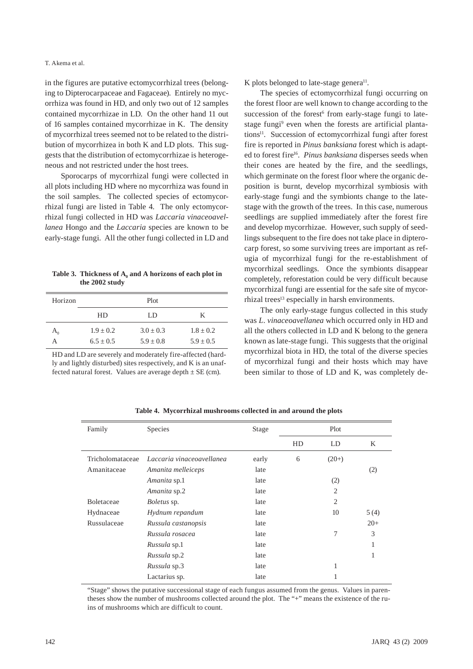in the figures are putative ectomycorrhizal trees (belonging to Dipterocarpaceae and Fagaceae). Entirely no mycorrhiza was found in HD, and only two out of 12 samples contained mycorrhizae in LD. On the other hand 11 out of 16 samples contained mycorrhizae in K. The density of mycorrhizal trees seemed not to be related to the distribution of mycorrhizea in both K and LD plots. This suggests that the distribution of ectomycorrhizae is heterogeneous and not restricted under the host trees.

Sporocarps of mycorrhizal fungi were collected in all plots including HD where no mycorrhiza was found in the soil samples. The collected species of ectomycorrhizal fungi are listed in Table 4. The only ectomycorrhizal fungi collected in HD was *Laccaria vinaceoavellanea* Hongo and the *Laccaria* species are known to be early-stage fungi. All the other fungi collected in LD and

Table 3. Thickness of  $A_0$  and A horizons of each plot in **the 2002 study**

| Horizon                                     |               | Plot          |               |
|---------------------------------------------|---------------|---------------|---------------|
|                                             | HD            | LD            | K             |
| $\mathsf{A}_{\scriptscriptstyle\mathsf{C}}$ | $1.9 \pm 0.2$ | $3.0 + 0.3$   | $1.8 + 0.2$   |
|                                             | $6.5 + 0.5$   | $5.9 \pm 0.8$ | $5.9 \pm 0.5$ |

HD and LD are severely and moderately fire-affected (hardly and lightly disturbed) sites respectively, and K is an unaffected natural forest. Values are average depth  $\pm$  SE (cm).

K plots belonged to late-stage genera $^{11}$ .

The species of ectomycorrhizal fungi occurring on the forest floor are well known to change according to the succession of the forest<sup>6</sup> from early-stage fungi to latestage fungi<sup>9</sup> even when the forests are artificial plantations<sup>11</sup>. Succession of ectomycorrhizal fungi after forest fire is reported in *Pinus banksiana* forest which is adapted to forest fire<sup>16</sup>. *Pinus banksiana* disperses seeds when their cones are heated by the fire, and the seedlings, which germinate on the forest floor where the organic deposition is burnt, develop mycorrhizal symbiosis with early-stage fungi and the symbionts change to the latestage with the growth of the trees. In this case, numerous seedlings are supplied immediately after the forest fire and develop mycorrhizae. However, such supply of seedlings subsequent to the fire does not take place in dipterocarp forest, so some surviving trees are important as refugia of mycorrhizal fungi for the re-establishment of mycorrhizal seedlings. Once the symbionts disappear completely, reforestation could be very difficult because mycorrhizal fungi are essential for the safe site of mycorrhizal trees<sup>13</sup> especially in harsh environments.

The only early-stage fungus collected in this study was *L. vinaceoavellanea* which occurred only in HD and all the others collected in LD and K belong to the genera known as late-stage fungi. This suggests that the original mycorrhizal biota in HD, the total of the diverse species of mycorrhizal fungi and their hosts which may have been similar to those of LD and K, was completely de-

| Family            | Species                   | Stage |    | Plot           |       |
|-------------------|---------------------------|-------|----|----------------|-------|
|                   |                           |       | HD | LD             | K     |
| Tricholomataceae  | Laccaria vinaceoavellanea | early | 6  | $(20+)$        |       |
| Amanitaceae       | Amanita melleiceps        | late  |    |                | (2)   |
|                   | Amanita sp.1              | late  |    | (2)            |       |
|                   | Amanita sp.2              | late  |    | $\overline{2}$ |       |
| <b>Boletaceae</b> | <i>Boletus</i> sp.        | late  |    | $\overline{c}$ |       |
| Hydnaceae         | Hydnum repandum           | late  |    | 10             | 5(4)  |
| Russulaceae       | Russula castanopsis       | late  |    |                | $20+$ |
|                   | Russula rosacea           | late  |    | 7              | 3     |
|                   | Russula sp.1              | late  |    |                | 1     |
|                   | Russula sp.2              | late  |    |                | 1     |
|                   | Russula sp.3              | late  |    | 1              |       |
|                   | Lactarius sp.             | late  |    |                |       |

**Table 4. Mycorrhizal mushrooms collected in and around the plots**

"Stage" shows the putative successional stage of each fungus assumed from the genus. Values in parentheses show the number of mushrooms collected around the plot. The "+" means the existence of the ruins of mushrooms which are difficult to count.